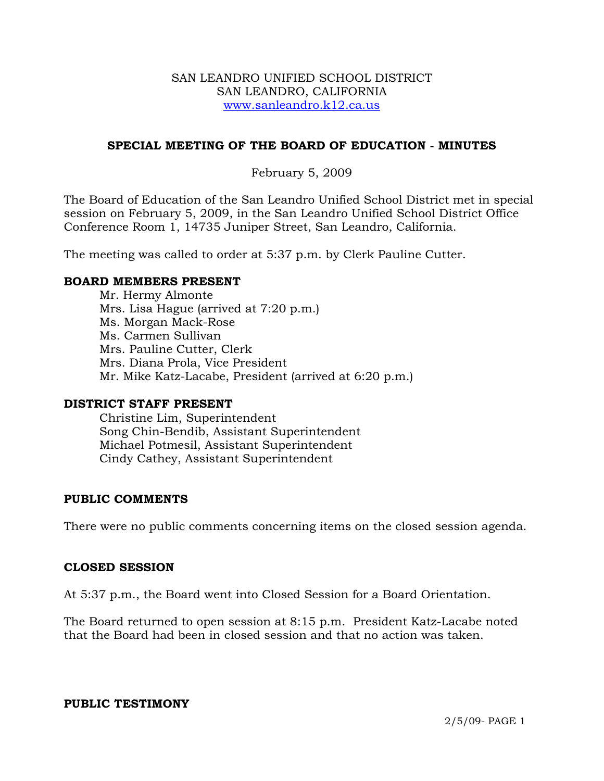### SAN LEANDRO UNIFIED SCHOOL DISTRICT SAN LEANDRO, CALIFORNIA www.sanleandro.k12.ca.us

## **SPECIAL MEETING OF THE BOARD OF EDUCATION - MINUTES**

### February 5, 2009

The Board of Education of the San Leandro Unified School District met in special session on February 5, 2009, in the San Leandro Unified School District Office Conference Room 1, 14735 Juniper Street, San Leandro, California.

The meeting was called to order at 5:37 p.m. by Clerk Pauline Cutter.

### **BOARD MEMBERS PRESENT**

Mr. Hermy Almonte Mrs. Lisa Hague (arrived at 7:20 p.m.) Ms. Morgan Mack-Rose Ms. Carmen Sullivan Mrs. Pauline Cutter, Clerk Mrs. Diana Prola, Vice President Mr. Mike Katz-Lacabe, President (arrived at 6:20 p.m.)

### **DISTRICT STAFF PRESENT**

Christine Lim, Superintendent Song Chin-Bendib, Assistant Superintendent Michael Potmesil, Assistant Superintendent Cindy Cathey, Assistant Superintendent

## **PUBLIC COMMENTS**

There were no public comments concerning items on the closed session agenda.

### **CLOSED SESSION**

At 5:37 p.m., the Board went into Closed Session for a Board Orientation.

The Board returned to open session at 8:15 p.m. President Katz-Lacabe noted that the Board had been in closed session and that no action was taken.

### **PUBLIC TESTIMONY**